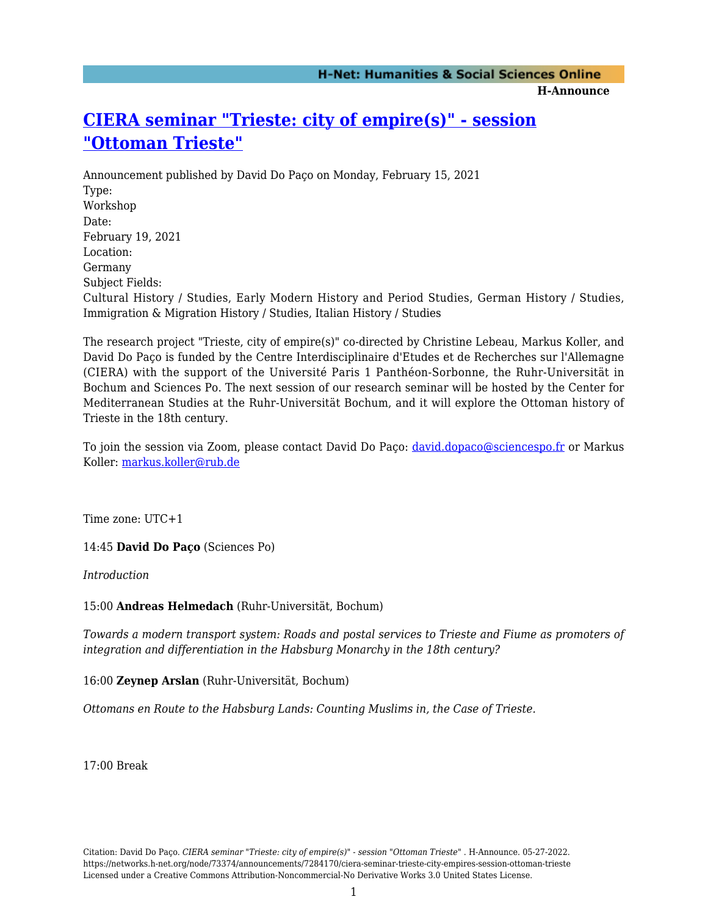## **[CIERA seminar "Trieste: city of empire\(s\)" - session](https://networks.h-net.org/node/73374/announcements/7284170/ciera-seminar-trieste-city-empires-session-ottoman-trieste) ["Ottoman Trieste"](https://networks.h-net.org/node/73374/announcements/7284170/ciera-seminar-trieste-city-empires-session-ottoman-trieste)**

Announcement published by David Do Paço on Monday, February 15, 2021 Type: Workshop Date: February 19, 2021 Location: Germany Subject Fields: Cultural History / Studies, Early Modern History and Period Studies, German History / Studies, Immigration & Migration History / Studies, Italian History / Studies

The research project "Trieste, city of empire(s)" co-directed by Christine Lebeau, Markus Koller, and David Do Paço is funded by the Centre Interdisciplinaire d'Etudes et de Recherches sur l'Allemagne (CIERA) with the support of the Université Paris 1 Panthéon-Sorbonne, the Ruhr-Universität in Bochum and Sciences Po. The next session of our research seminar will be hosted by the Center for Mediterranean Studies at the Ruhr-Universität Bochum, and it will explore the Ottoman history of Trieste in the 18th century.

To join the session via Zoom, please contact David Do Paço: [david.dopaco@sciencespo.fr](mailto:david.dopaco@sciencespo.fr) or Markus Koller: [markus.koller@rub.de](mailto:markus.koller@rub.de)

Time zone: UTC+1

14:45 **David Do Paço** (Sciences Po)

*Introduction*

15:00 **Andreas Helmedach** (Ruhr-Universität, Bochum)

*Towards a modern transport system: Roads and postal services to Trieste and Fiume as promoters of integration and differentiation in the Habsburg Monarchy in the 18th century?*

16:00 **Zeynep Arslan** (Ruhr-Universität, Bochum)

*Ottomans en Route to the Habsburg Lands: Counting Muslims in, the Case of Trieste.*

17:00 Break